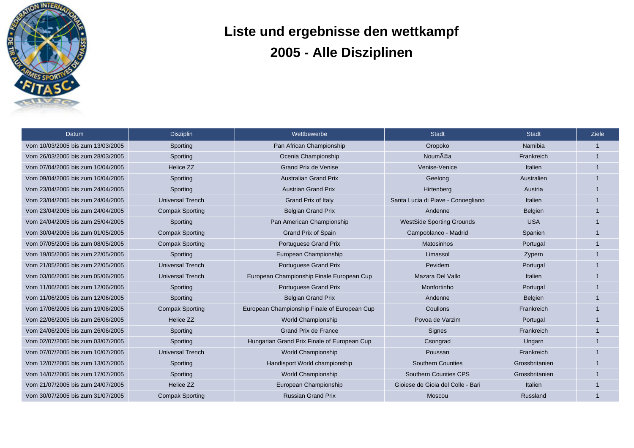

## **Liste und ergebnisse den wettkampf 2005 - Alle Disziplinen**

| Datum                             | <b>Disziplin</b>        | Wettbewerbe                                  | <b>Stadt</b>                       | <b>Stadt</b>   | <b>Ziele</b> |
|-----------------------------------|-------------------------|----------------------------------------------|------------------------------------|----------------|--------------|
| Vom 10/03/2005 bis zum 13/03/2005 | Sporting                | Pan African Championship                     | Oropoko                            | <b>Namibia</b> | $\mathbf{1}$ |
| Vom 26/03/2005 bis zum 28/03/2005 | Sporting                | Ocenia Championship                          | <b>Nouméa</b>                      | Frankreich     |              |
| Vom 07/04/2005 bis zum 10/04/2005 | Helice ZZ               | <b>Grand Prix de Venise</b>                  | Venise-Venice                      | Italien        |              |
| Vom 09/04/2005 bis zum 10/04/2005 | Sporting                | <b>Australian Grand Prix</b>                 | Geelong                            | Australien     |              |
| Vom 23/04/2005 bis zum 24/04/2005 | Sporting                | <b>Austrian Grand Prix</b>                   | Hirtenberg                         | Austria        |              |
| Vom 23/04/2005 bis zum 24/04/2005 | <b>Universal Trench</b> | Grand Prix of Italy                          | Santa Lucia di Piave - Conoegliano | Italien        |              |
| Vom 23/04/2005 bis zum 24/04/2005 | <b>Compak Sporting</b>  | <b>Belgian Grand Prix</b>                    | Andenne                            | <b>Belgien</b> |              |
| Vom 24/04/2005 bis zum 25/04/2005 | Sporting                | Pan American Championship                    | <b>WestSide Sporting Grounds</b>   | <b>USA</b>     |              |
| Vom 30/04/2005 bis zum 01/05/2005 | <b>Compak Sporting</b>  | <b>Grand Prix of Spain</b>                   | Campoblanco - Madrid               | Spanien        |              |
| Vom 07/05/2005 bis zum 08/05/2005 | <b>Compak Sporting</b>  | Portuguese Grand Prix                        | Matosinhos                         | Portugal       |              |
| Vom 19/05/2005 bis zum 22/05/2005 | Sporting                | European Championship                        | Limassol                           | Zypern         |              |
| Vom 21/05/2005 bis zum 22/05/2005 | <b>Universal Trench</b> | Portuguese Grand Prix                        | Pevidem                            | Portugal       |              |
| Vom 03/06/2005 bis zum 05/06/2005 | <b>Universal Trench</b> | European Championship Finale European Cup    | Mazara Del Vallo                   | Italien        |              |
| Vom 11/06/2005 bis zum 12/06/2005 | Sporting                | Portuguese Grand Prix                        | Monfortinho                        | Portugal       |              |
| Vom 11/06/2005 bis zum 12/06/2005 | Sporting                | <b>Belgian Grand Prix</b>                    | Andenne                            | <b>Belgien</b> |              |
| Vom 17/06/2005 bis zum 19/06/2005 | <b>Compak Sporting</b>  | European Championship Finale of European Cup | Coullons                           | Frankreich     |              |
| Vom 22/06/2005 bis zum 26/06/2005 | Helice ZZ               | World Championship                           | Povoa de Varzim                    | Portugal       | $\mathbf 1$  |
| Vom 24/06/2005 bis zum 26/06/2005 | Sporting                | <b>Grand Prix de France</b>                  | Signes                             | Frankreich     | $\mathbf{1}$ |
| Vom 02/07/2005 bis zum 03/07/2005 | Sporting                | Hungarian Grand Prix Finale of European Cup  | Csongrad                           | Ungarn         | $\mathbf{1}$ |
| Vom 07/07/2005 bis zum 10/07/2005 | <b>Universal Trench</b> | World Championship                           | Poussan                            | Frankreich     | $\mathbf{1}$ |
| Vom 12/07/2005 bis zum 13/07/2005 | Sporting                | Handisport World championship                | <b>Southern Counties</b>           | Grossbritanien | -1           |
| Vom 14/07/2005 bis zum 17/07/2005 | Sporting                | World Championship                           | <b>Southern Counties CPS</b>       | Grossbritanien |              |
| Vom 21/07/2005 bis zum 24/07/2005 | Helice ZZ               | European Championship                        | Gioiese de Gioia del Colle - Bari  | Italien        |              |
| Vom 30/07/2005 bis zum 31/07/2005 | <b>Compak Sporting</b>  | <b>Russian Grand Prix</b>                    | Moscou                             | Russland       |              |